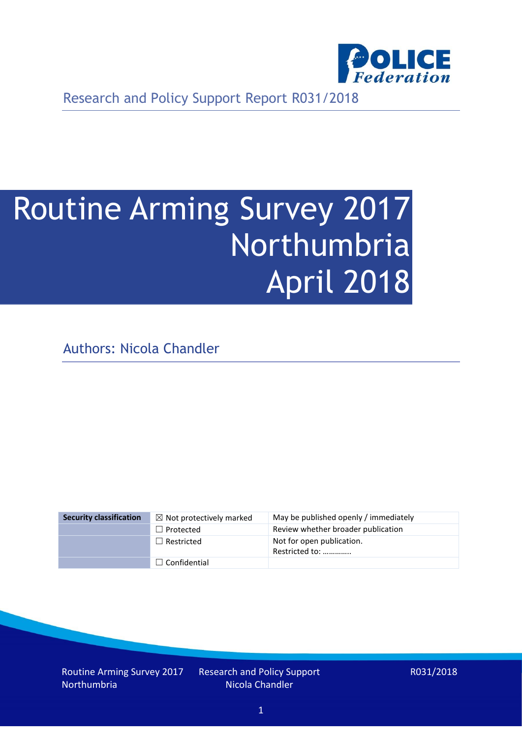

Research and Policy Support Report R031/2018

# Routine Arming Survey 2017 Northumbria April 2018

Authors: Nicola Chandler

| <b>Security classification</b> | $\boxtimes$ Not protectively marked | May be published openly / immediately       |
|--------------------------------|-------------------------------------|---------------------------------------------|
|                                | $\Box$ Protected                    | Review whether broader publication          |
|                                | $\Box$ Restricted                   | Not for open publication.<br>Restricted to: |
|                                | $\Box$ Confidential                 |                                             |

Routine Arming Survey 2017 Northumbria

Research and Policy Support Nicola Chandler

R031/2018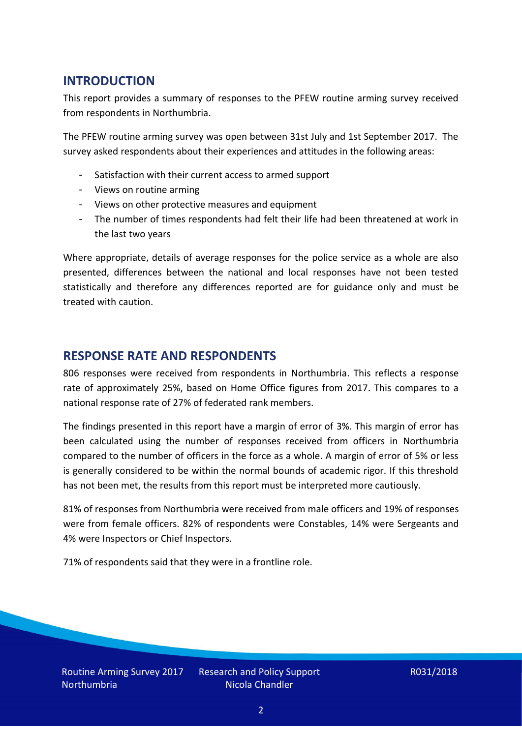## **INTRODUCTION**

This report provides a summary of responses to the PFEW routine arming survey received from respondents in Northumbria.

The PFEW routine arming survey was open between 31st July and 1st September 2017. The survey asked respondents about their experiences and attitudes in the following areas:

- Satisfaction with their current access to armed support
- Views on routine arming
- Views on other protective measures and equipment
- The number of times respondents had felt their life had been threatened at work in the last two years

Where appropriate, details of average responses for the police service as a whole are also presented, differences between the national and local responses have not been tested statistically and therefore any differences reported are for guidance only and must be treated with caution.

### **RESPONSE RATE AND RESPONDENTS**

806 responses were received from respondents in Northumbria. This reflects a response rate of approximately 25%, based on Home Office figures from 2017. This compares to a national response rate of 27% of federated rank members.

The findings presented in this report have a margin of error of 3%. This margin of error has been calculated using the number of responses received from officers in Northumbria compared to the number of officers in the force as a whole. A margin of error of 5% or less is generally considered to be within the normal bounds of academic rigor. If this threshold has not been met, the results from this report must be interpreted more cautiously.

81% of responses from Northumbria were received from male officers and 19% of responses were from female officers. 82% of respondents were Constables, 14% were Sergeants and 4% were Inspectors or Chief Inspectors.

71% of respondents said that they were in a frontline role.

Routine Arming Survey 2017 **Northumbria** 

Research and Policy Support Nicola Chandler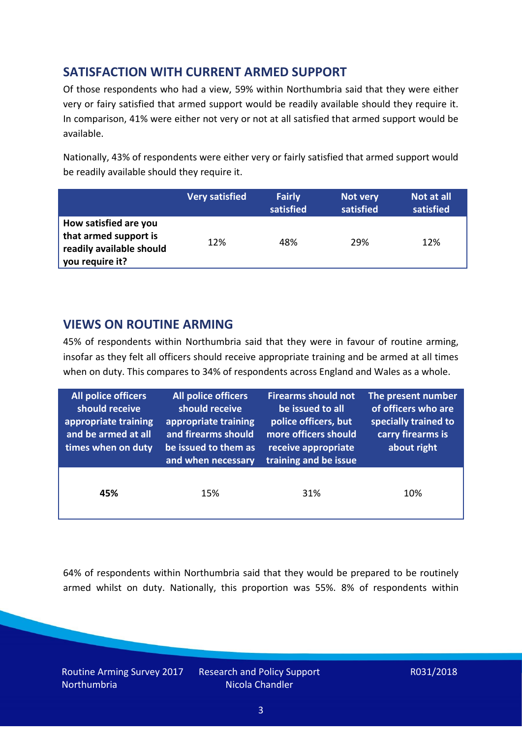# **SATISFACTION WITH CURRENT ARMED SUPPORT**

Of those respondents who had a view, 59% within Northumbria said that they were either very or fairy satisfied that armed support would be readily available should they require it. In comparison, 41% were either not very or not at all satisfied that armed support would be available.

Nationally, 43% of respondents were either very or fairly satisfied that armed support would be readily available should they require it.

|                                                                                               | <b>Very satisfied</b> | <b>Fairly</b><br>satisfied | Not very<br>satisfied | Not at all<br>satisfied |
|-----------------------------------------------------------------------------------------------|-----------------------|----------------------------|-----------------------|-------------------------|
| How satisfied are you<br>that armed support is<br>readily available should<br>you require it? | 12%                   | 48%                        | 29%                   | 12%                     |

### **VIEWS ON ROUTINE ARMING**

45% of respondents within Northumbria said that they were in favour of routine arming, insofar as they felt all officers should receive appropriate training and be armed at all times when on duty. This compares to 34% of respondents across England and Wales as a whole.

| <b>All police officers</b><br>should receive<br>appropriate training<br>and be armed at all<br>times when on duty | <b>All police officers</b><br>should receive<br>appropriate training<br>and firearms should<br>be issued to them as<br>and when necessary | <b>Firearms should not</b><br>be issued to all<br>police officers, but<br>more officers should<br>receive appropriate<br>training and be issue | The present number<br>of officers who are<br>specially trained to<br>carry firearms is<br>about right |  |
|-------------------------------------------------------------------------------------------------------------------|-------------------------------------------------------------------------------------------------------------------------------------------|------------------------------------------------------------------------------------------------------------------------------------------------|-------------------------------------------------------------------------------------------------------|--|
| 45%                                                                                                               | 15%                                                                                                                                       | 31%                                                                                                                                            | 10%                                                                                                   |  |

64% of respondents within Northumbria said that they would be prepared to be routinely armed whilst on duty. Nationally, this proportion was 55%. 8% of respondents within

Routine Arming Survey 2017 Northumbria

Research and Policy Support Nicola Chandler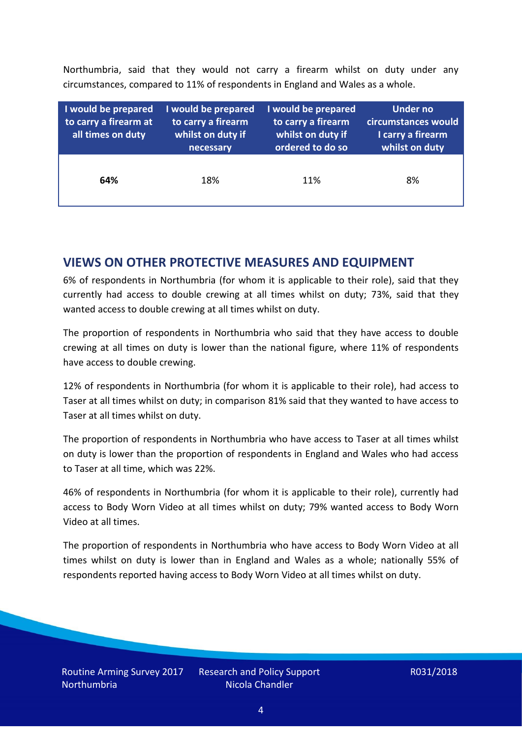Northumbria, said that they would not carry a firearm whilst on duty under any circumstances, compared to 11% of respondents in England and Wales as a whole.

| I would be prepared<br>to carry a firearm at<br>all times on duty | I would be prepared<br>to carry a firearm<br>whilst on duty if<br>necessary | I would be prepared<br>to carry a firearm<br>whilst on duty if<br>ordered to do so | Under no<br>circumstances would<br>I carry a firearm<br>whilst on duty |  |  |
|-------------------------------------------------------------------|-----------------------------------------------------------------------------|------------------------------------------------------------------------------------|------------------------------------------------------------------------|--|--|
| 64%                                                               | 18%                                                                         | 11%                                                                                | 8%                                                                     |  |  |

### **VIEWS ON OTHER PROTECTIVE MEASURES AND EQUIPMENT**

6% of respondents in Northumbria (for whom it is applicable to their role), said that they currently had access to double crewing at all times whilst on duty; 73%, said that they wanted access to double crewing at all times whilst on duty.

The proportion of respondents in Northumbria who said that they have access to double crewing at all times on duty is lower than the national figure, where 11% of respondents have access to double crewing.

12% of respondents in Northumbria (for whom it is applicable to their role), had access to Taser at all times whilst on duty; in comparison 81% said that they wanted to have access to Taser at all times whilst on duty.

The proportion of respondents in Northumbria who have access to Taser at all times whilst on duty is lower than the proportion of respondents in England and Wales who had access to Taser at all time, which was 22%.

46% of respondents in Northumbria (for whom it is applicable to their role), currently had access to Body Worn Video at all times whilst on duty; 79% wanted access to Body Worn Video at all times.

The proportion of respondents in Northumbria who have access to Body Worn Video at all times whilst on duty is lower than in England and Wales as a whole; nationally 55% of respondents reported having access to Body Worn Video at all times whilst on duty.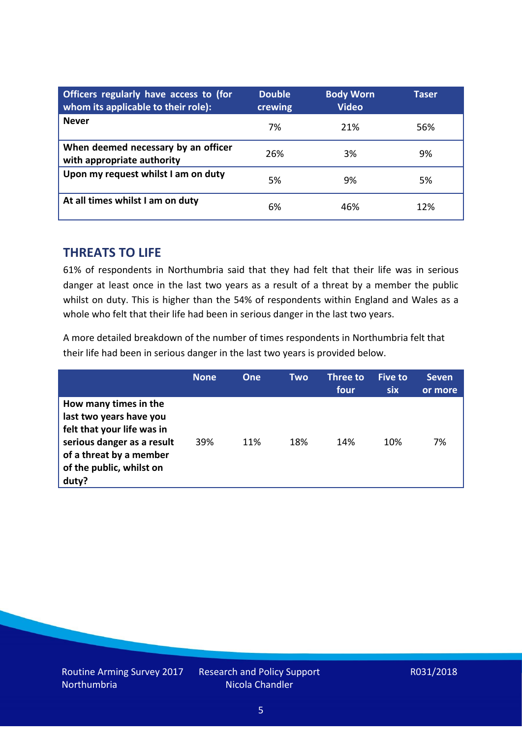| Officers regularly have access to (for<br>whom its applicable to their role): | <b>Double</b><br>crewing | <b>Body Worn</b><br><b>Video</b> | Taser |
|-------------------------------------------------------------------------------|--------------------------|----------------------------------|-------|
| <b>Never</b>                                                                  | 7%                       | 21%                              | 56%   |
| When deemed necessary by an officer<br>with appropriate authority             | 26%                      | 3%                               | 9%    |
| Upon my request whilst I am on duty                                           | 5%                       | 9%                               | 5%    |
| At all times whilst I am on duty                                              | 6%                       | 46%                              | 12%   |

#### **THREATS TO LIFE**

61% of respondents in Northumbria said that they had felt that their life was in serious danger at least once in the last two years as a result of a threat by a member the public whilst on duty. This is higher than the 54% of respondents within England and Wales as a whole who felt that their life had been in serious danger in the last two years.

A more detailed breakdown of the number of times respondents in Northumbria felt that their life had been in serious danger in the last two years is provided below.

|                                                                                                                                                                              | <b>None</b> | One | Two | Three to<br>four | Five to<br><b>six</b> | <b>Seven</b><br>or more |
|------------------------------------------------------------------------------------------------------------------------------------------------------------------------------|-------------|-----|-----|------------------|-----------------------|-------------------------|
| How many times in the<br>last two years have you<br>felt that your life was in<br>serious danger as a result<br>of a threat by a member<br>of the public, whilst on<br>duty? | 39%         | 11% | 18% | 14%              | 10%                   | 7%                      |

Research and Policy Support Nicola Chandler